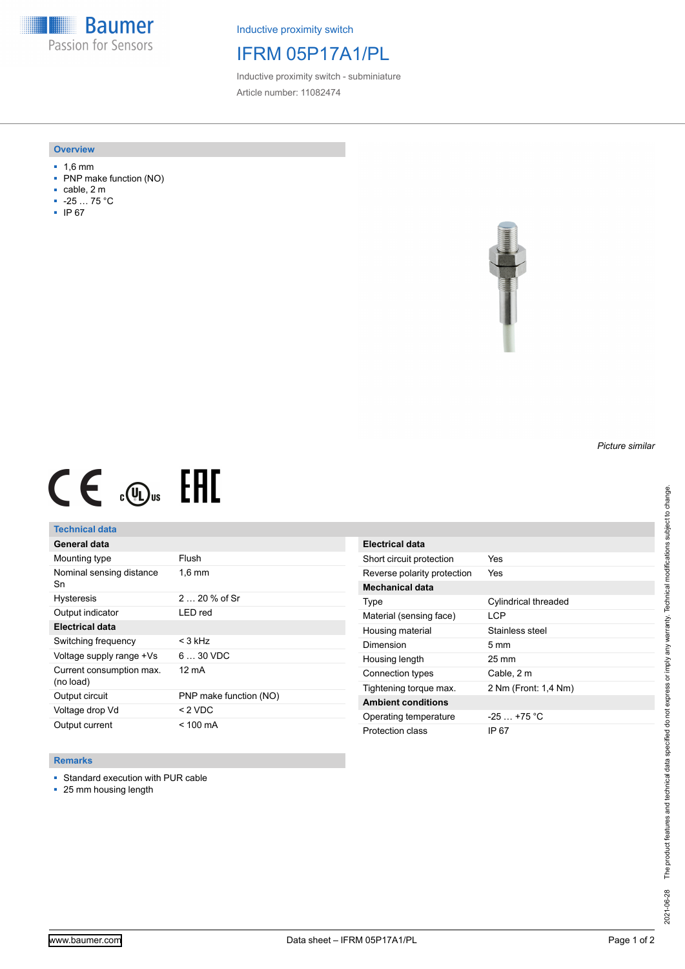**Baumer** Passion for Sensors

Inductive proximity switch

## IFRM 05P17A1/PL

Inductive proximity switch - subminiature Article number: 11082474

#### **Overview**

- 1,6 mm
- PNP make function (NO)
- cable, 2 m
- -25 … 75 °C
- IP 67



# $CE \text{ and } CH$

## **Technical data**

| General data                          |                        |
|---------------------------------------|------------------------|
| Mounting type                         | Flush                  |
| Nominal sensing distance<br>Sn        | $1.6 \text{ mm}$       |
| <b>Hysteresis</b>                     | $220%$ of Sr           |
| Output indicator                      | LED red                |
| <b>Electrical data</b>                |                        |
| Switching frequency                   | $<$ 3 kHz              |
| Voltage supply range +Vs              | $630$ VDC              |
| Current consumption max.<br>(no load) | 12 mA                  |
| Output circuit                        | PNP make function (NO) |
| Voltage drop Vd                       | < 2 VDC                |
| Output current                        | < 100 mA               |

### **Remarks**

- Standard execution with PUR cable
- 25 mm housing length

| Electrical data             |                             |
|-----------------------------|-----------------------------|
| Short circuit protection    | Yes                         |
| Reverse polarity protection | Yes                         |
| Mechanical data             |                             |
| Type                        | <b>Cylindrical threaded</b> |
| Material (sensing face)     | <b>LCP</b>                  |
| Housing material            | Stainless steel             |
| Dimension                   | $5 \text{ mm}$              |
| Housing length              | $25 \text{ mm}$             |
| Connection types            | Cable, 2 m                  |
| Tightening torque max.      | 2 Nm (Front: 1.4 Nm)        |
| <b>Ambient conditions</b>   |                             |
| Operating temperature       | $-25 + 75$ °C               |
| Protection class            | IP 67                       |

*Picture similar*